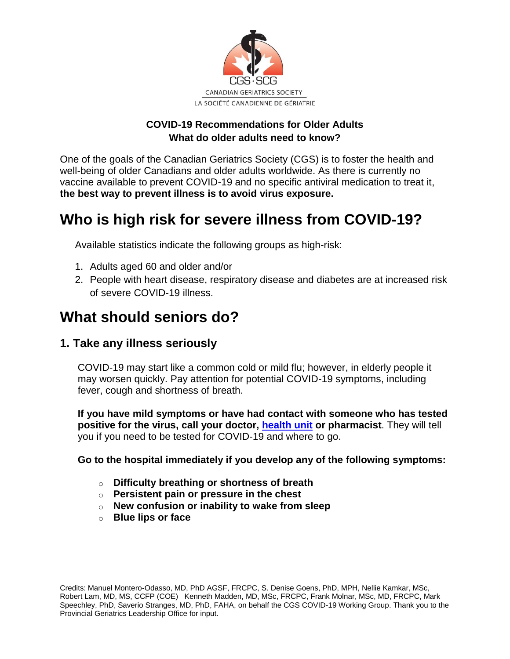

#### **COVID-19 Recommendations for Older Adults What do older adults need to know?**

One of the goals of the Canadian Geriatrics Society (CGS) is to foster the health and well-being of older Canadians and older adults worldwide. As there is currently no vaccine available to prevent COVID-19 and no specific antiviral medication to treat it, **the best way to prevent illness is to avoid virus exposure.**

# **Who is high risk for severe illness from COVID-19?**

Available statistics indicate the following groups as high-risk:

- 1. Adults aged 60 and older and/or
- 2. People with heart disease, respiratory disease and diabetes are at increased risk of severe COVID-19 illness.

## **What should seniors do?**

#### **1. Take any illness seriously**

COVID-19 may start like a common cold or mild flu; however, in elderly people it may worsen quickly. Pay attention for potential COVID-19 symptoms, including fever, cough and shortness of breath.

**If you have mild symptoms or have had contact with someone who has tested positive for the virus, call your doctor, [health unit](http://www.ncceh.ca/content/public-health-agencies) or pharmacist**. They will tell you if you need to be tested for COVID-19 and where to go.

#### **Go to the hospital immediately if you develop any of the following symptoms:**

- o **Difficulty breathing or shortness of breath**
- o **Persistent pain or pressure in the chest**
- o **New confusion or inability to wake from sleep**
- o **Blue lips or face**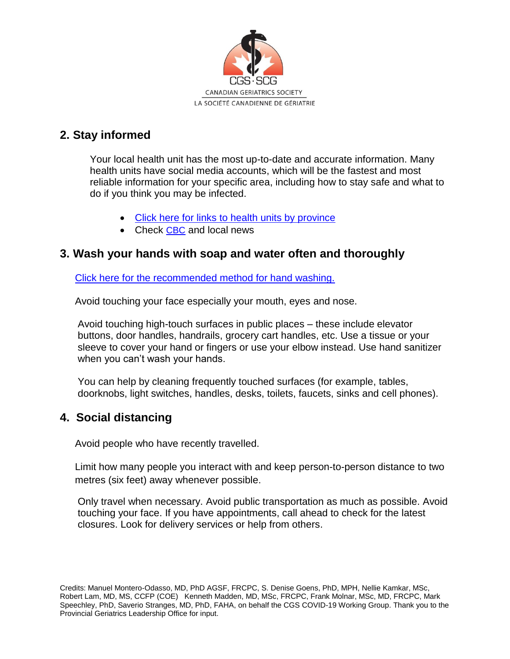

## **2. Stay informed**

Your local health unit has the most up-to-date and accurate information. Many health units have social media accounts, which will be the fastest and most reliable information for your specific area, including how to stay safe and what to do if you think you may be infected.

- [Click here for links to health units by province](http://www.ncceh.ca/content/public-health-agencies)
- Check [CBC](https://www.cbc.ca/) and local news

## **3. Wash your hands with soap and water often and thoroughly**

[Click here for the recommended method for hand washing.](https://www.who.int/gpsc/clean_hands_protection/en/)

Avoid touching your face especially your mouth, eyes and nose.

Avoid touching high-touch surfaces in public places – these include elevator buttons, door handles, handrails, grocery cart handles, etc. Use a tissue or your sleeve to cover your hand or fingers or use your elbow instead. Use hand sanitizer when you can't wash your hands.

You can help by cleaning frequently touched surfaces (for example, tables, doorknobs, light switches, handles, desks, toilets, faucets, sinks and cell phones).

## **4. Social distancing**

Avoid people who have recently travelled.

Limit how many people you interact with and keep person-to-person distance to two metres (six feet) away whenever possible.

Only travel when necessary. Avoid public transportation as much as possible. Avoid touching your face. If you have appointments, call ahead to check for the latest closures. Look for delivery services or help from others.

Credits: Manuel Montero-Odasso, MD, PhD AGSF, FRCPC, S. Denise Goens, PhD, MPH, Nellie Kamkar, MSc, Robert Lam, MD, MS, CCFP (COE) Kenneth Madden, MD, MSc, FRCPC, Frank Molnar, MSc, MD, FRCPC, Mark Speechley, PhD, Saverio Stranges, MD, PhD, FAHA, on behalf the CGS COVID-19 Working Group. Thank you to the Provincial Geriatrics Leadership Office for input.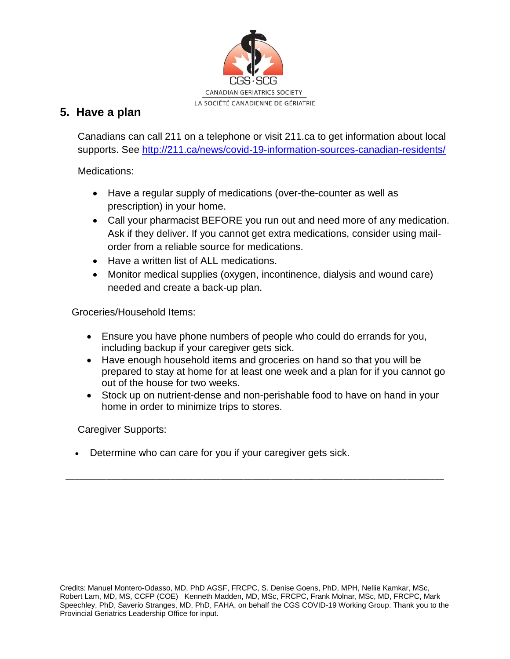

## **5. Have a plan**

Canadians can call 211 on a telephone or visit 211.ca to get information about local supports. See<http://211.ca/news/covid-19-information-sources-canadian-residents/>

Medications:

- Have a regular supply of medications (over-the-counter as well as prescription) in your home.
- Call your pharmacist BEFORE you run out and need more of any medication. Ask if they deliver. If you cannot get extra medications, consider using mailorder from a reliable source for medications.
- Have a written list of ALL medications.
- Monitor medical supplies (oxygen, incontinence, dialysis and wound care) needed and create a back-up plan.

Groceries/Household Items:

- Ensure you have phone numbers of people who could do errands for you, including backup if your caregiver gets sick.
- Have enough household items and groceries on hand so that you will be prepared to stay at home for at least one week and a plan for if you cannot go out of the house for two weeks.
- Stock up on nutrient-dense and non-perishable food to have on hand in your home in order to minimize trips to stores.

\_\_\_\_\_\_\_\_\_\_\_\_\_\_\_\_\_\_\_\_\_\_\_\_\_\_\_\_\_\_\_\_\_\_\_\_\_\_\_\_\_\_\_\_\_\_\_\_\_\_\_\_\_\_\_\_\_\_\_\_\_\_\_\_\_\_\_\_\_\_\_\_\_\_\_\_\_\_\_\_\_\_\_

Caregiver Supports:

Determine who can care for you if your caregiver gets sick.